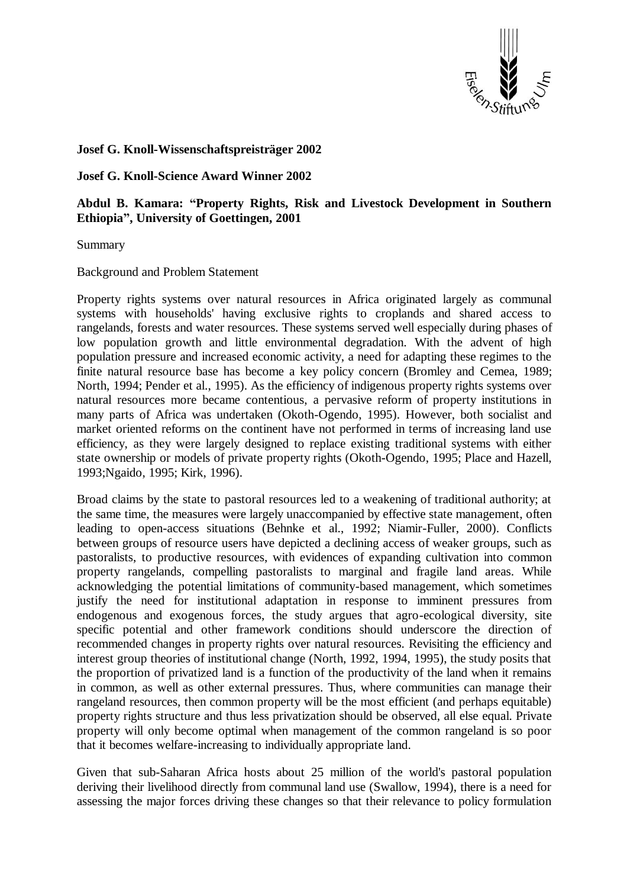

## **Josef G. Knoll-Wissenschaftspreisträger 2002**

**Josef G. Knoll-Science Award Winner 2002**

**Abdul B. Kamara: "Property Rights, Risk and Livestock Development in Southern Ethiopia", University of Goettingen, 2001**

Summary

Background and Problem Statement

Property rights systems over natural resources in Africa originated largely as communal systems with households' having exclusive rights to croplands and shared access to rangelands, forests and water resources. These systems served well especially during phases of low population growth and little environmental degradation. With the advent of high population pressure and increased economic activity, a need for adapting these regimes to the finite natural resource base has become a key policy concern (Bromley and Cemea, 1989; North, 1994; Pender et al., 1995). As the efficiency of indigenous property rights systems over natural resources more became contentious, a pervasive reform of property institutions in many parts of Africa was undertaken (Okoth-Ogendo, 1995). However, both socialist and market oriented reforms on the continent have not performed in terms of increasing land use efficiency, as they were largely designed to replace existing traditional systems with either state ownership or models of private property rights (Okoth-Ogendo, 1995; Place and Hazell, 1993;Ngaido, 1995; Kirk, 1996).

Broad claims by the state to pastoral resources led to a weakening of traditional authority; at the same time, the measures were largely unaccompanied by effective state management, often leading to open-access situations (Behnke et al., 1992; Niamir-Fuller, 2000). Conflicts between groups of resource users have depicted a declining access of weaker groups, such as pastoralists, to productive resources, with evidences of expanding cultivation into common property rangelands, compelling pastoralists to marginal and fragile land areas. While acknowledging the potential limitations of community-based management, which sometimes justify the need for institutional adaptation in response to imminent pressures from endogenous and exogenous forces, the study argues that agro-ecological diversity, site specific potential and other framework conditions should underscore the direction of recommended changes in property rights over natural resources. Revisiting the efficiency and interest group theories of institutional change (North, 1992, 1994, 1995), the study posits that the proportion of privatized land is a function of the productivity of the land when it remains in common, as well as other external pressures. Thus, where communities can manage their rangeland resources, then common property will be the most efficient (and perhaps equitable) property rights structure and thus less privatization should be observed, all else equal. Private property will only become optimal when management of the common rangeland is so poor that it becomes welfare-increasing to individually appropriate land.

Given that sub-Saharan Africa hosts about 25 million of the world's pastoral population deriving their livelihood directly from communal land use (Swallow, 1994), there is a need for assessing the major forces driving these changes so that their relevance to policy formulation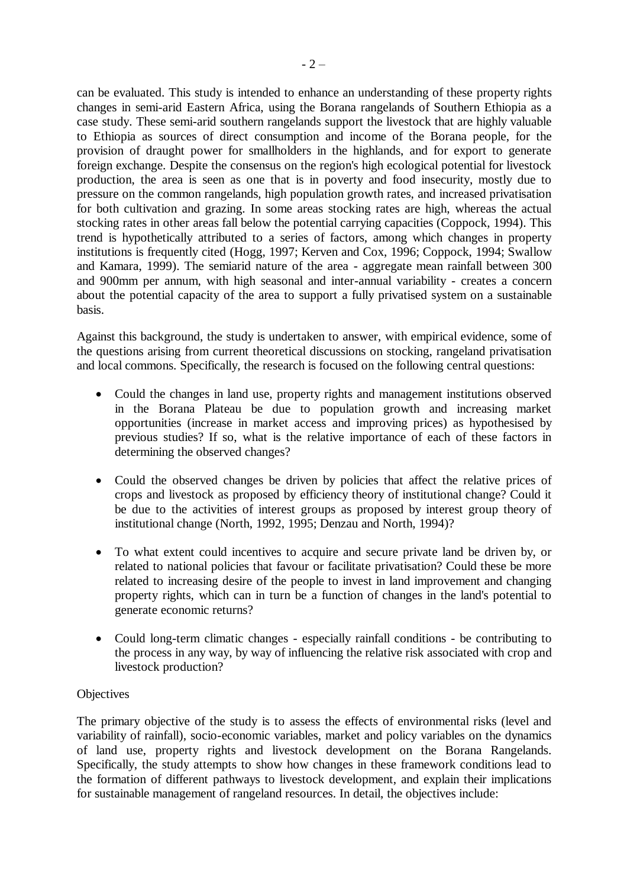can be evaluated. This study is intended to enhance an understanding of these property rights changes in semi-arid Eastern Africa, using the Borana rangelands of Southern Ethiopia as a case study. These semi-arid southern rangelands support the livestock that are highly valuable to Ethiopia as sources of direct consumption and income of the Borana people, for the provision of draught power for smallholders in the highlands, and for export to generate foreign exchange. Despite the consensus on the region's high ecological potential for livestock production, the area is seen as one that is in poverty and food insecurity, mostly due to pressure on the common rangelands, high population growth rates, and increased privatisation for both cultivation and grazing. In some areas stocking rates are high, whereas the actual stocking rates in other areas fall below the potential carrying capacities (Coppock, 1994). This trend is hypothetically attributed to a series of factors, among which changes in property institutions is frequently cited (Hogg, 1997; Kerven and Cox, 1996; Coppock, 1994; Swallow and Kamara, 1999). The semiarid nature of the area - aggregate mean rainfall between 300 and 900mm per annum, with high seasonal and inter-annual variability - creates a concern about the potential capacity of the area to support a fully privatised system on a sustainable basis.

Against this background, the study is undertaken to answer, with empirical evidence, some of the questions arising from current theoretical discussions on stocking, rangeland privatisation and local commons. Specifically, the research is focused on the following central questions:

- Could the changes in land use, property rights and management institutions observed in the Borana Plateau be due to population growth and increasing market opportunities (increase in market access and improving prices) as hypothesised by previous studies? If so, what is the relative importance of each of these factors in determining the observed changes?
- Could the observed changes be driven by policies that affect the relative prices of crops and livestock as proposed by efficiency theory of institutional change? Could it be due to the activities of interest groups as proposed by interest group theory of institutional change (North, 1992, 1995; Denzau and North, 1994)?
- To what extent could incentives to acquire and secure private land be driven by, or related to national policies that favour or facilitate privatisation? Could these be more related to increasing desire of the people to invest in land improvement and changing property rights, which can in turn be a function of changes in the land's potential to generate economic returns?
- Could long-term climatic changes especially rainfall conditions be contributing to the process in any way, by way of influencing the relative risk associated with crop and livestock production?

## **Objectives**

The primary objective of the study is to assess the effects of environmental risks (level and variability of rainfall), socio-economic variables, market and policy variables on the dynamics of land use, property rights and livestock development on the Borana Rangelands. Specifically, the study attempts to show how changes in these framework conditions lead to the formation of different pathways to livestock development, and explain their implications for sustainable management of rangeland resources. In detail, the objectives include: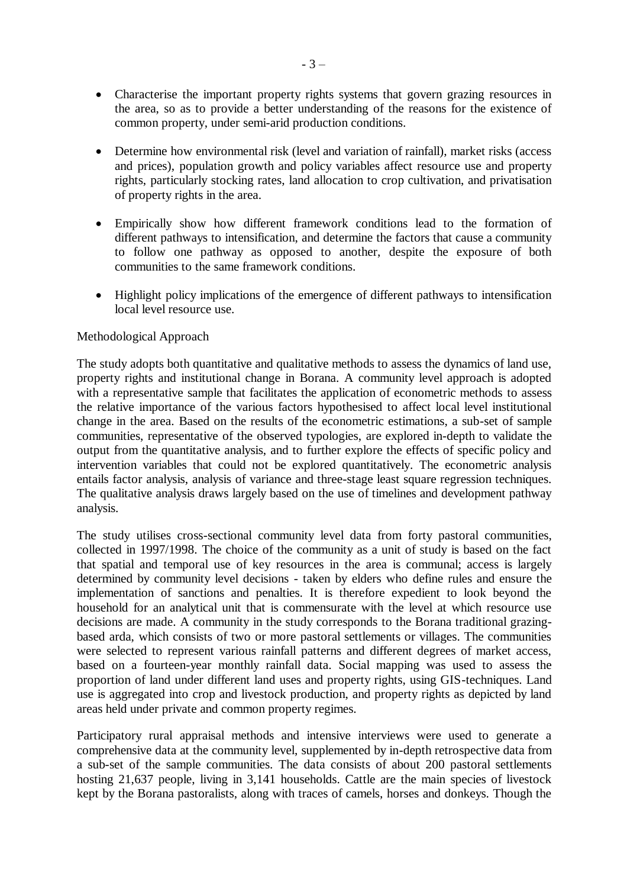- Characterise the important property rights systems that govern grazing resources in the area, so as to provide a better understanding of the reasons for the existence of common property, under semi-arid production conditions.
- Determine how environmental risk (level and variation of rainfall), market risks (access and prices), population growth and policy variables affect resource use and property rights, particularly stocking rates, land allocation to crop cultivation, and privatisation of property rights in the area.
- Empirically show how different framework conditions lead to the formation of different pathways to intensification, and determine the factors that cause a community to follow one pathway as opposed to another, despite the exposure of both communities to the same framework conditions.
- Highlight policy implications of the emergence of different pathways to intensification local level resource use.

## Methodological Approach

The study adopts both quantitative and qualitative methods to assess the dynamics of land use, property rights and institutional change in Borana. A community level approach is adopted with a representative sample that facilitates the application of econometric methods to assess the relative importance of the various factors hypothesised to affect local level institutional change in the area. Based on the results of the econometric estimations, a sub-set of sample communities, representative of the observed typologies, are explored in-depth to validate the output from the quantitative analysis, and to further explore the effects of specific policy and intervention variables that could not be explored quantitatively. The econometric analysis entails factor analysis, analysis of variance and three-stage least square regression techniques. The qualitative analysis draws largely based on the use of timelines and development pathway analysis.

The study utilises cross-sectional community level data from forty pastoral communities, collected in 1997/1998. The choice of the community as a unit of study is based on the fact that spatial and temporal use of key resources in the area is communal; access is largely determined by community level decisions - taken by elders who define rules and ensure the implementation of sanctions and penalties. It is therefore expedient to look beyond the household for an analytical unit that is commensurate with the level at which resource use decisions are made. A community in the study corresponds to the Borana traditional grazingbased arda, which consists of two or more pastoral settlements or villages. The communities were selected to represent various rainfall patterns and different degrees of market access, based on a fourteen-year monthly rainfall data. Social mapping was used to assess the proportion of land under different land uses and property rights, using GIS-techniques. Land use is aggregated into crop and livestock production, and property rights as depicted by land areas held under private and common property regimes.

Participatory rural appraisal methods and intensive interviews were used to generate a comprehensive data at the community level, supplemented by in-depth retrospective data from a sub-set of the sample communities. The data consists of about 200 pastoral settlements hosting 21,637 people, living in 3,141 households. Cattle are the main species of livestock kept by the Borana pastoralists, along with traces of camels, horses and donkeys. Though the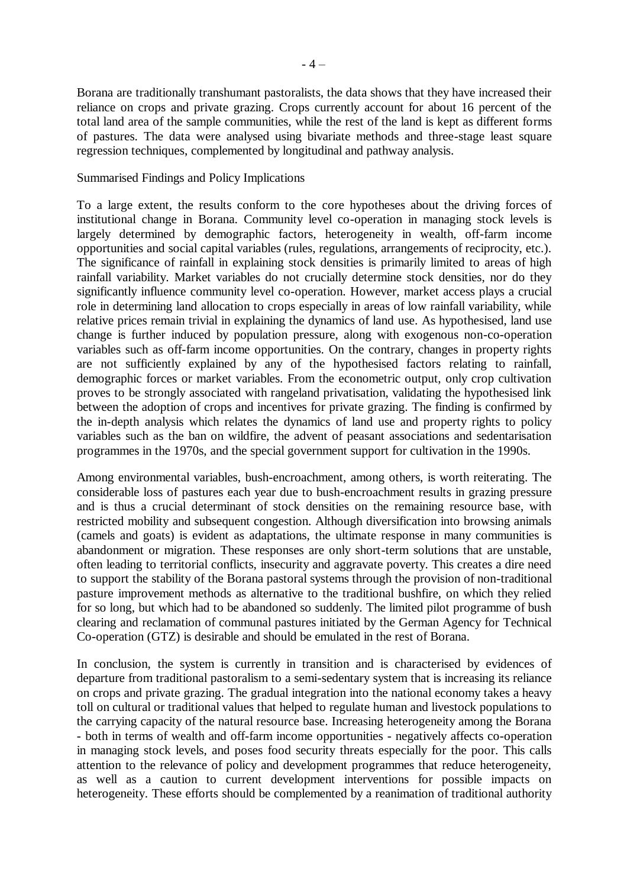Borana are traditionally transhumant pastoralists, the data shows that they have increased their reliance on crops and private grazing. Crops currently account for about 16 percent of the total land area of the sample communities, while the rest of the land is kept as different forms of pastures. The data were analysed using bivariate methods and three-stage least square regression techniques, complemented by longitudinal and pathway analysis.

## Summarised Findings and Policy Implications

To a large extent, the results conform to the core hypotheses about the driving forces of institutional change in Borana. Community level co-operation in managing stock levels is largely determined by demographic factors, heterogeneity in wealth, off-farm income opportunities and social capital variables (rules, regulations, arrangements of reciprocity, etc.). The significance of rainfall in explaining stock densities is primarily limited to areas of high rainfall variability. Market variables do not crucially determine stock densities, nor do they significantly influence community level co-operation. However, market access plays a crucial role in determining land allocation to crops especially in areas of low rainfall variability, while relative prices remain trivial in explaining the dynamics of land use. As hypothesised, land use change is further induced by population pressure, along with exogenous non-co-operation variables such as off-farm income opportunities. On the contrary, changes in property rights are not sufficiently explained by any of the hypothesised factors relating to rainfall, demographic forces or market variables. From the econometric output, only crop cultivation proves to be strongly associated with rangeland privatisation, validating the hypothesised link between the adoption of crops and incentives for private grazing. The finding is confirmed by the in-depth analysis which relates the dynamics of land use and property rights to policy variables such as the ban on wildfire, the advent of peasant associations and sedentarisation programmes in the 1970s, and the special government support for cultivation in the 1990s.

Among environmental variables, bush-encroachment, among others, is worth reiterating. The considerable loss of pastures each year due to bush-encroachment results in grazing pressure and is thus a crucial determinant of stock densities on the remaining resource base, with restricted mobility and subsequent congestion. Although diversification into browsing animals (camels and goats) is evident as adaptations, the ultimate response in many communities is abandonment or migration. These responses are only short-term solutions that are unstable, often leading to territorial conflicts, insecurity and aggravate poverty. This creates a dire need to support the stability of the Borana pastoral systems through the provision of non-traditional pasture improvement methods as alternative to the traditional bushfire, on which they relied for so long, but which had to be abandoned so suddenly. The limited pilot programme of bush clearing and reclamation of communal pastures initiated by the German Agency for Technical Co-operation (GTZ) is desirable and should be emulated in the rest of Borana.

In conclusion, the system is currently in transition and is characterised by evidences of departure from traditional pastoralism to a semi-sedentary system that is increasing its reliance on crops and private grazing. The gradual integration into the national economy takes a heavy toll on cultural or traditional values that helped to regulate human and livestock populations to the carrying capacity of the natural resource base. Increasing heterogeneity among the Borana - both in terms of wealth and off-farm income opportunities - negatively affects co-operation in managing stock levels, and poses food security threats especially for the poor. This calls attention to the relevance of policy and development programmes that reduce heterogeneity, as well as a caution to current development interventions for possible impacts on heterogeneity. These efforts should be complemented by a reanimation of traditional authority